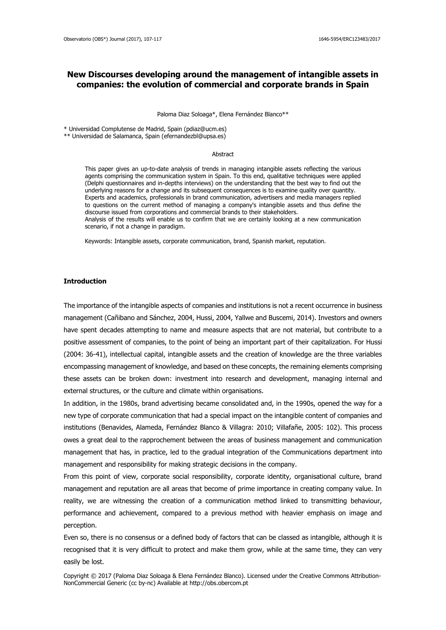# **New Discourses developing around the management of intangible assets in companies: the evolution of commercial and corporate brands in Spain**

#### Paloma Diaz Soloaga\*, Elena Fernández Blanco\*\*

\* Universidad Complutense de Madrid, Spain (pdiaz@ucm.es)

\*\* Universidad de Salamanca, Spain (efernandezbl@upsa.es)

#### Abstract

This paper gives an up-to-date analysis of trends in managing intangible assets reflecting the various agents comprising the communication system in Spain. To this end, qualitative techniques were applied (Delphi questionnaires and in-depths interviews) on the understanding that the best way to find out the underlying reasons for a change and its subsequent consequences is to examine quality over quantity. Experts and academics, professionals in brand communication, advertisers and media managers replied to questions on the current method of managing a company's intangible assets and thus define the discourse issued from corporations and commercial brands to their stakeholders.

Analysis of the results will enable us to confirm that we are certainly looking at a new communication scenario, if not a change in paradigm.

Keywords: Intangible assets, corporate communication, brand, Spanish market, reputation.

# **Introduction**

The importance of the intangible aspects of companies and institutions is not a recent occurrence in business management (Cañibano and Sánchez, 2004, Hussi, 2004, Yallwe and Buscemi, 2014). Investors and owners have spent decades attempting to name and measure aspects that are not material, but contribute to a positive assessment of companies, to the point of being an important part of their capitalization. For Hussi (2004: 36-41), intellectual capital, intangible assets and the creation of knowledge are the three variables encompassing management of knowledge, and based on these concepts, the remaining elements comprising these assets can be broken down: investment into research and development, managing internal and external structures, or the culture and climate within organisations.

In addition, in the 1980s, brand advertising became consolidated and, in the 1990s, opened the way for a new type of corporate communication that had a special impact on the intangible content of companies and institutions (Benavides, Alameda, Fernández Blanco & Villagra: 2010; Villafañe, 2005: 102). This process owes a great deal to the rapprochement between the areas of business management and communication management that has, in practice, led to the gradual integration of the Communications department into management and responsibility for making strategic decisions in the company.

From this point of view, corporate social responsibility, corporate identity, organisational culture, brand management and reputation are all areas that become of prime importance in creating company value. In reality, we are witnessing the creation of a communication method linked to transmitting behaviour, performance and achievement, compared to a previous method with heavier emphasis on image and perception.

Even so, there is no consensus or a defined body of factors that can be classed as intangible, although it is recognised that it is very difficult to protect and make them grow, while at the same time, they can very easily be lost.

Copyright © 2017 (Paloma Diaz Soloaga & Elena Fernández Blanco). Licensed under the Creative Commons Attribution-NonCommercial Generic (cc by-nc) Available at http://obs.obercom.pt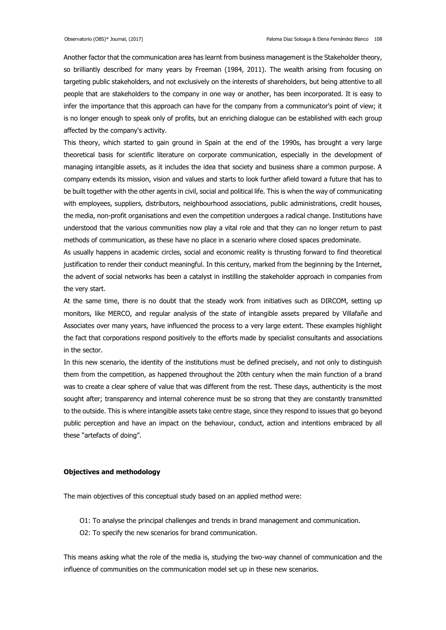Another factor that the communication area has learnt from business management is the Stakeholder theory, so brilliantly described for many years by Freeman (1984, 2011). The wealth arising from focusing on targeting public stakeholders, and not exclusively on the interests of shareholders, but being attentive to all people that are stakeholders to the company in one way or another, has been incorporated. It is easy to infer the importance that this approach can have for the company from a communicator's point of view; it is no longer enough to speak only of profits, but an enriching dialogue can be established with each group affected by the company's activity.

This theory, which started to gain ground in Spain at the end of the 1990s, has brought a very large theoretical basis for scientific literature on corporate communication, especially in the development of managing intangible assets, as it includes the idea that society and business share a common purpose. A company extends its mission, vision and values and starts to look further afield toward a future that has to be built together with the other agents in civil, social and political life. This is when the way of communicating with employees, suppliers, distributors, neighbourhood associations, public administrations, credit houses, the media, non-profit organisations and even the competition undergoes a radical change. Institutions have understood that the various communities now play a vital role and that they can no longer return to past methods of communication, as these have no place in a scenario where closed spaces predominate.

As usually happens in academic circles, social and economic reality is thrusting forward to find theoretical justification to render their conduct meaningful. In this century, marked from the beginning by the Internet, the advent of social networks has been a catalyst in instilling the stakeholder approach in companies from the very start.

At the same time, there is no doubt that the steady work from initiatives such as DIRCOM, setting up monitors, like MERCO, and regular analysis of the state of intangible assets prepared by Villafañe and Associates over many years, have influenced the process to a very large extent. These examples highlight the fact that corporations respond positively to the efforts made by specialist consultants and associations in the sector.

In this new scenario, the identity of the institutions must be defined precisely, and not only to distinguish them from the competition, as happened throughout the 20th century when the main function of a brand was to create a clear sphere of value that was different from the rest. These days, authenticity is the most sought after; transparency and internal coherence must be so strong that they are constantly transmitted to the outside. This is where intangible assets take centre stage, since they respond to issues that go beyond public perception and have an impact on the behaviour, conduct, action and intentions embraced by all these "artefacts of doing".

# **Objectives and methodology**

The main objectives of this conceptual study based on an applied method were:

- O1: To analyse the principal challenges and trends in brand management and communication.
- O2: To specify the new scenarios for brand communication.

This means asking what the role of the media is, studying the two-way channel of communication and the influence of communities on the communication model set up in these new scenarios.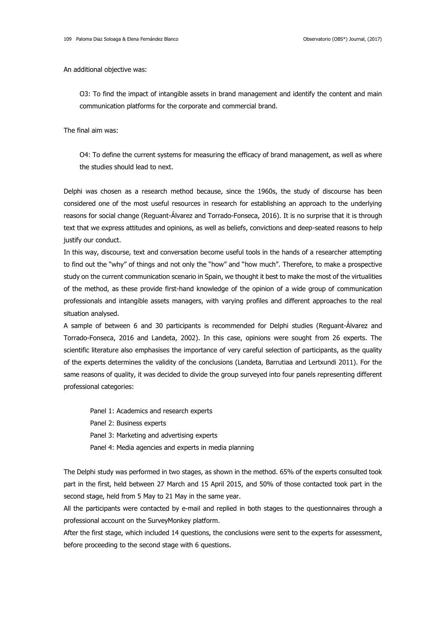An additional objective was:

O3: To find the impact of intangible assets in brand management and identify the content and main communication platforms for the corporate and commercial brand.

The final aim was:

O4: To define the current systems for measuring the efficacy of brand management, as well as where the studies should lead to next.

Delphi was chosen as a research method because, since the 1960s, the study of discourse has been considered one of the most useful resources in research for establishing an approach to the underlying reasons for social change (Reguant-Álvarez and Torrado-Fonseca, 2016). It is no surprise that it is through text that we express attitudes and opinions, as well as beliefs, convictions and deep-seated reasons to help justify our conduct.

In this way, discourse, text and conversation become useful tools in the hands of a researcher attempting to find out the "why" of things and not only the "how" and "how much". Therefore, to make a prospective study on the current communication scenario in Spain, we thought it best to make the most of the virtualities of the method, as these provide first-hand knowledge of the opinion of a wide group of communication professionals and intangible assets managers, with varying profiles and different approaches to the real situation analysed.

A sample of between 6 and 30 participants is recommended for Delphi studies (Reguant-Álvarez and Torrado-Fonseca, 2016 and Landeta, 2002). In this case, opinions were sought from 26 experts. The scientific literature also emphasises the importance of very careful selection of participants, as the quality of the experts determines the validity of the conclusions (Landeta, Barrutiaa and Lertxundi 2011). For the same reasons of quality, it was decided to divide the group surveyed into four panels representing different professional categories:

Panel 1: Academics and research experts Panel 2: Business experts Panel 3: Marketing and advertising experts Panel 4: Media agencies and experts in media planning

The Delphi study was performed in two stages, as shown in the method. 65% of the experts consulted took part in the first, held between 27 March and 15 April 2015, and 50% of those contacted took part in the second stage, held from 5 May to 21 May in the same year.

All the participants were contacted by e-mail and replied in both stages to the questionnaires through a professional account on the SurveyMonkey platform.

After the first stage, which included 14 questions, the conclusions were sent to the experts for assessment, before proceeding to the second stage with 6 questions.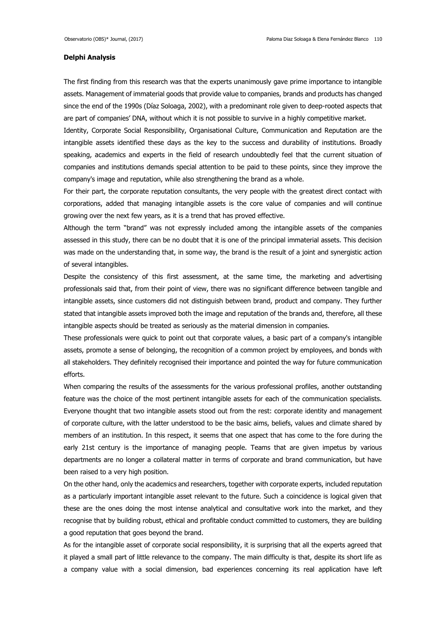### **Delphi Analysis**

The first finding from this research was that the experts unanimously gave prime importance to intangible assets. Management of immaterial goods that provide value to companies, brands and products has changed since the end of the 1990s (Díaz Soloaga, 2002), with a predominant role given to deep-rooted aspects that are part of companies' DNA, without which it is not possible to survive in a highly competitive market.

Identity, Corporate Social Responsibility, Organisational Culture, Communication and Reputation are the intangible assets identified these days as the key to the success and durability of institutions. Broadly speaking, academics and experts in the field of research undoubtedly feel that the current situation of companies and institutions demands special attention to be paid to these points, since they improve the company's image and reputation, while also strengthening the brand as a whole.

For their part, the corporate reputation consultants, the very people with the greatest direct contact with corporations, added that managing intangible assets is the core value of companies and will continue growing over the next few years, as it is a trend that has proved effective.

Although the term "brand" was not expressly included among the intangible assets of the companies assessed in this study, there can be no doubt that it is one of the principal immaterial assets. This decision was made on the understanding that, in some way, the brand is the result of a joint and synergistic action of several intangibles.

Despite the consistency of this first assessment, at the same time, the marketing and advertising professionals said that, from their point of view, there was no significant difference between tangible and intangible assets, since customers did not distinguish between brand, product and company. They further stated that intangible assets improved both the image and reputation of the brands and, therefore, all these intangible aspects should be treated as seriously as the material dimension in companies.

These professionals were quick to point out that corporate values, a basic part of a company's intangible assets, promote a sense of belonging, the recognition of a common project by employees, and bonds with all stakeholders. They definitely recognised their importance and pointed the way for future communication efforts.

When comparing the results of the assessments for the various professional profiles, another outstanding feature was the choice of the most pertinent intangible assets for each of the communication specialists. Everyone thought that two intangible assets stood out from the rest: corporate identity and management of corporate culture, with the latter understood to be the basic aims, beliefs, values and climate shared by members of an institution. In this respect, it seems that one aspect that has come to the fore during the early 21st century is the importance of managing people. Teams that are given impetus by various departments are no longer a collateral matter in terms of corporate and brand communication, but have been raised to a very high position.

On the other hand, only the academics and researchers, together with corporate experts, included reputation as a particularly important intangible asset relevant to the future. Such a coincidence is logical given that these are the ones doing the most intense analytical and consultative work into the market, and they recognise that by building robust, ethical and profitable conduct committed to customers, they are building a good reputation that goes beyond the brand.

As for the intangible asset of corporate social responsibility, it is surprising that all the experts agreed that it played a small part of little relevance to the company. The main difficulty is that, despite its short life as a company value with a social dimension, bad experiences concerning its real application have left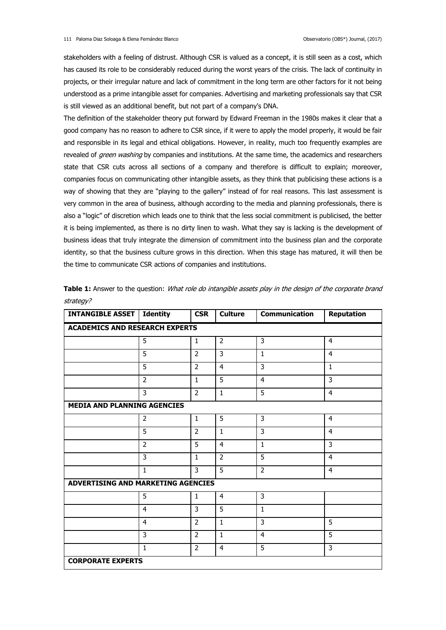stakeholders with a feeling of distrust. Although CSR is valued as a concept, it is still seen as a cost, which has caused its role to be considerably reduced during the worst years of the crisis. The lack of continuity in projects, or their irregular nature and lack of commitment in the long term are other factors for it not being understood as a prime intangible asset for companies. Advertising and marketing professionals say that CSR is still viewed as an additional benefit, but not part of a company's DNA.

The definition of the stakeholder theory put forward by Edward Freeman in the 1980s makes it clear that a good company has no reason to adhere to CSR since, if it were to apply the model properly, it would be fair and responsible in its legal and ethical obligations. However, in reality, much too frequently examples are revealed of *green washing* by companies and institutions. At the same time, the academics and researchers state that CSR cuts across all sections of a company and therefore is difficult to explain; moreover, companies focus on communicating other intangible assets, as they think that publicising these actions is a way of showing that they are "playing to the gallery" instead of for real reasons. This last assessment is very common in the area of business, although according to the media and planning professionals, there is also a "logic" of discretion which leads one to think that the less social commitment is publicised, the better it is being implemented, as there is no dirty linen to wash. What they say is lacking is the development of business ideas that truly integrate the dimension of commitment into the business plan and the corporate identity, so that the business culture grows in this direction. When this stage has matured, it will then be the time to communicate CSR actions of companies and institutions.

| <b>INTANGIBLE ASSET</b>               | <b>Identity</b> | <b>CSR</b>     | <b>Culture</b> | <b>Communication</b> | <b>Reputation</b> |  |  |  |
|---------------------------------------|-----------------|----------------|----------------|----------------------|-------------------|--|--|--|
| <b>ACADEMICS AND RESEARCH EXPERTS</b> |                 |                |                |                      |                   |  |  |  |
|                                       | $\overline{5}$  | $\mathbf{1}$   | $\overline{2}$ | $\overline{3}$       | $\overline{4}$    |  |  |  |
|                                       | $\overline{5}$  | $\overline{2}$ | $\overline{3}$ | $1\,$                | $\overline{4}$    |  |  |  |
|                                       | 5               | $\overline{2}$ | $\overline{4}$ | 3                    | 1                 |  |  |  |
|                                       | $\overline{2}$  | $\mathbf{1}$   | 5              | $\overline{4}$       | $\overline{3}$    |  |  |  |
|                                       | 3               | 2              | $\mathbf{1}$   | 5                    | $\overline{4}$    |  |  |  |
| <b>MEDIA AND PLANNING AGENCIES</b>    |                 |                |                |                      |                   |  |  |  |
|                                       | $\overline{2}$  | $\mathbf{1}$   | 5              | $\overline{3}$       | $\overline{4}$    |  |  |  |
|                                       | $\overline{5}$  | $\overline{2}$ | $\mathbf{1}$   | 3                    | $\overline{4}$    |  |  |  |
|                                       | $\overline{2}$  | $\overline{5}$ | $\overline{4}$ | $\mathbf{1}$         | $\overline{3}$    |  |  |  |
|                                       | 3               | $\mathbf{1}$   | $\overline{2}$ | 5                    | $\overline{4}$    |  |  |  |
|                                       | $\mathbf{1}$    | 3              | 5              | $\overline{2}$       | $\overline{4}$    |  |  |  |
| ADVERTISING AND MARKETING AGENCIES    |                 |                |                |                      |                   |  |  |  |
|                                       | 5               | $\mathbf{1}$   | $\overline{4}$ | 3                    |                   |  |  |  |
|                                       | 4               | 3              | 5              | $\mathbf{1}$         |                   |  |  |  |
|                                       | 4               | $\overline{2}$ | $\mathbf{1}$   | 3                    | 5                 |  |  |  |
|                                       | 3               | $\overline{2}$ | $\mathbf{1}$   | $\overline{4}$       | 5                 |  |  |  |
|                                       | $\mathbf{1}$    | 2              | 4              | 5                    | 3                 |  |  |  |
| <b>CORPORATE EXPERTS</b>              |                 |                |                |                      |                   |  |  |  |

**Table 1:** Answer to the question: *What role do intangible assets play in the design of the corporate brand* strategy?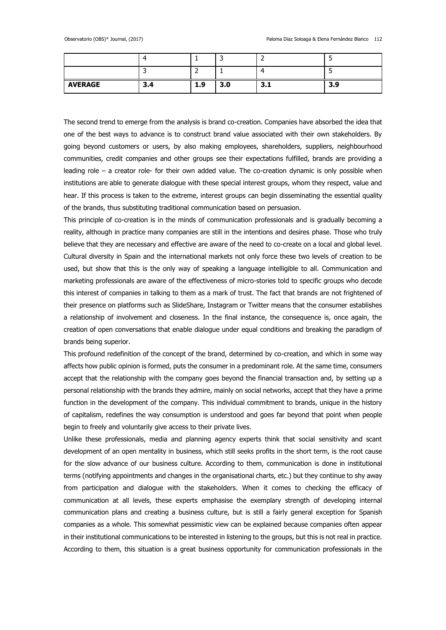|                |     |     |     | $\sqrt{2}$      |           |
|----------------|-----|-----|-----|-----------------|-----------|
| <b>AVERAGE</b> | 3.4 | 1.9 | 3.0 | ,<br><b>J.L</b> | 3.9<br>э. |

The second trend to emerge from the analysis is brand co-creation. Companies have absorbed the idea that one of the best ways to advance is to construct brand value associated with their own stakeholders. By going beyond customers or users, by also making employees, shareholders, suppliers, neighbourhood communities, credit companies and other groups see their expectations fulfilled, brands are providing a leading role – a creator role- for their own added value. The co-creation dynamic is only possible when institutions are able to generate dialogue with these special interest groups, whom they respect, value and hear. If this process is taken to the extreme, interest groups can begin disseminating the essential quality of the brands, thus substituting traditional communication based on persuasion.

This principle of co-creation is in the minds of communication professionals and is gradually becoming a reality, although in practice many companies are still in the intentions and desires phase. Those who truly believe that they are necessary and effective are aware of the need to co-create on a local and global level. Cultural diversity in Spain and the international markets not only force these two levels of creation to be used, but show that this is the only way of speaking a language intelligible to all. Communication and marketing professionals are aware of the effectiveness of micro-stories told to specific groups who decode this interest of companies in talking to them as a mark of trust. The fact that brands are not frightened of their presence on platforms such as SlideShare, Instagram or Twitter means that the consumer establishes a relationship of involvement and closeness. In the final instance, the consequence is, once again, the creation of open conversations that enable dialogue under equal conditions and breaking the paradigm of brands being superior.

This profound redefinition of the concept of the brand, determined by co-creation, and which in some way affects how public opinion is formed, puts the consumer in a predominant role. At the same time, consumers accept that the relationship with the company goes beyond the financial transaction and, by setting up a personal relationship with the brands they admire, mainly on social networks, accept that they have a prime function in the development of the company. This individual commitment to brands, unique in the history of capitalism, redefines the way consumption is understood and goes far beyond that point when people begin to freely and voluntarily give access to their private lives.

Unlike these professionals, media and planning agency experts think that social sensitivity and scant development of an open mentality in business, which still seeks profits in the short term, is the root cause for the slow advance of our business culture. According to them, communication is done in institutional terms (notifying appointments and changes in the organisational charts, etc.) but they continue to shy away from participation and dialogue with the stakeholders. When it comes to checking the efficacy of communication at all levels, these experts emphasise the exemplary strength of developing internal communication plans and creating a business culture, but is still a fairly general exception for Spanish companies as a whole. This somewhat pessimistic view can be explained because companies often appear in their institutional communications to be interested in listening to the groups, but this is not real in practice. According to them, this situation is a great business opportunity for communication professionals in the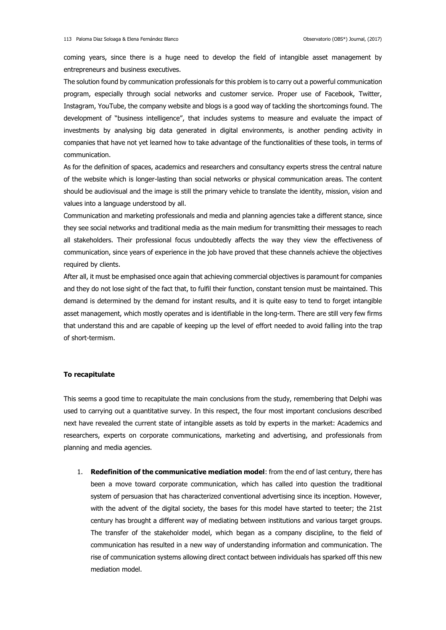coming years, since there is a huge need to develop the field of intangible asset management by entrepreneurs and business executives.

The solution found by communication professionals for this problem is to carry out a powerful communication program, especially through social networks and customer service. Proper use of Facebook, Twitter, Instagram, YouTube, the company website and blogs is a good way of tackling the shortcomings found. The development of "business intelligence", that includes systems to measure and evaluate the impact of investments by analysing big data generated in digital environments, is another pending activity in companies that have not yet learned how to take advantage of the functionalities of these tools, in terms of communication.

As for the definition of spaces, academics and researchers and consultancy experts stress the central nature of the website which is longer-lasting than social networks or physical communication areas. The content should be audiovisual and the image is still the primary vehicle to translate the identity, mission, vision and values into a language understood by all.

Communication and marketing professionals and media and planning agencies take a different stance, since they see social networks and traditional media as the main medium for transmitting their messages to reach all stakeholders. Their professional focus undoubtedly affects the way they view the effectiveness of communication, since years of experience in the job have proved that these channels achieve the objectives required by clients.

After all, it must be emphasised once again that achieving commercial objectives is paramount for companies and they do not lose sight of the fact that, to fulfil their function, constant tension must be maintained. This demand is determined by the demand for instant results, and it is quite easy to tend to forget intangible asset management, which mostly operates and is identifiable in the long-term. There are still very few firms that understand this and are capable of keeping up the level of effort needed to avoid falling into the trap of short-termism.

# **To recapitulate**

This seems a good time to recapitulate the main conclusions from the study, remembering that Delphi was used to carrying out a quantitative survey. In this respect, the four most important conclusions described next have revealed the current state of intangible assets as told by experts in the market: Academics and researchers, experts on corporate communications, marketing and advertising, and professionals from planning and media agencies.

1. **Redefinition of the communicative mediation model**: from the end of last century, there has been a move toward corporate communication, which has called into question the traditional system of persuasion that has characterized conventional advertising since its inception. However, with the advent of the digital society, the bases for this model have started to teeter; the 21st century has brought a different way of mediating between institutions and various target groups. The transfer of the stakeholder model, which began as a company discipline, to the field of communication has resulted in a new way of understanding information and communication. The rise of communication systems allowing direct contact between individuals has sparked off this new mediation model.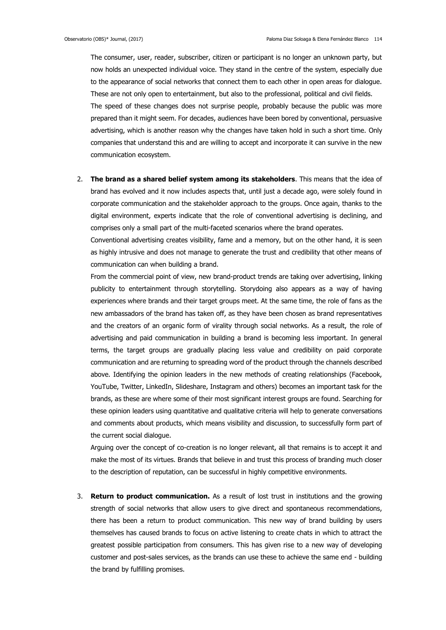The consumer, user, reader, subscriber, citizen or participant is no longer an unknown party, but now holds an unexpected individual voice. They stand in the centre of the system, especially due to the appearance of social networks that connect them to each other in open areas for dialogue. These are not only open to entertainment, but also to the professional, political and civil fields. The speed of these changes does not surprise people, probably because the public was more prepared than it might seem. For decades, audiences have been bored by conventional, persuasive advertising, which is another reason why the changes have taken hold in such a short time. Only companies that understand this and are willing to accept and incorporate it can survive in the new communication ecosystem.

2. **The brand as a shared belief system among its stakeholders**. This means that the idea of brand has evolved and it now includes aspects that, until just a decade ago, were solely found in corporate communication and the stakeholder approach to the groups. Once again, thanks to the digital environment, experts indicate that the role of conventional advertising is declining, and comprises only a small part of the multi-faceted scenarios where the brand operates.

Conventional advertising creates visibility, fame and a memory, but on the other hand, it is seen as highly intrusive and does not manage to generate the trust and credibility that other means of communication can when building a brand.

From the commercial point of view, new brand-product trends are taking over advertising, linking publicity to entertainment through storytelling. Storydoing also appears as a way of having experiences where brands and their target groups meet. At the same time, the role of fans as the new ambassadors of the brand has taken off, as they have been chosen as brand representatives and the creators of an organic form of virality through social networks. As a result, the role of advertising and paid communication in building a brand is becoming less important. In general terms, the target groups are gradually placing less value and credibility on paid corporate communication and are returning to spreading word of the product through the channels described above. Identifying the opinion leaders in the new methods of creating relationships (Facebook, YouTube, Twitter, LinkedIn, Slideshare, Instagram and others) becomes an important task for the brands, as these are where some of their most significant interest groups are found. Searching for these opinion leaders using quantitative and qualitative criteria will help to generate conversations and comments about products, which means visibility and discussion, to successfully form part of the current social dialogue.

Arguing over the concept of co-creation is no longer relevant, all that remains is to accept it and make the most of its virtues. Brands that believe in and trust this process of branding much closer to the description of reputation, can be successful in highly competitive environments.

3. **Return to product communication.** As a result of lost trust in institutions and the growing strength of social networks that allow users to give direct and spontaneous recommendations, there has been a return to product communication. This new way of brand building by users themselves has caused brands to focus on active listening to create chats in which to attract the greatest possible participation from consumers. This has given rise to a new way of developing customer and post-sales services, as the brands can use these to achieve the same end - building the brand by fulfilling promises.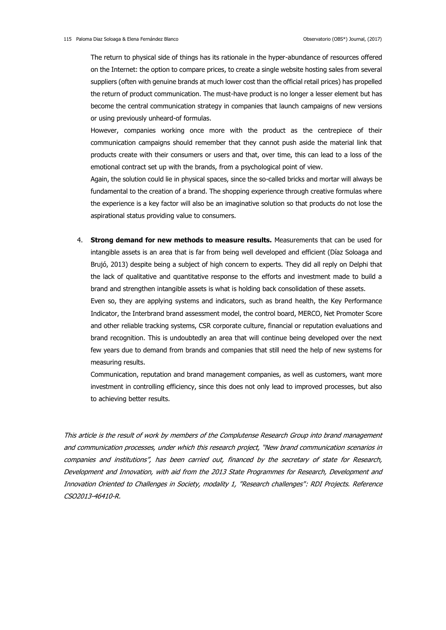The return to physical side of things has its rationale in the hyper-abundance of resources offered on the Internet: the option to compare prices, to create a single website hosting sales from several suppliers (often with genuine brands at much lower cost than the official retail prices) has propelled the return of product communication. The must-have product is no longer a lesser element but has become the central communication strategy in companies that launch campaigns of new versions or using previously unheard-of formulas.

However, companies working once more with the product as the centrepiece of their communication campaigns should remember that they cannot push aside the material link that products create with their consumers or users and that, over time, this can lead to a loss of the emotional contract set up with the brands, from a psychological point of view.

Again, the solution could lie in physical spaces, since the so-called bricks and mortar will always be fundamental to the creation of a brand. The shopping experience through creative formulas where the experience is a key factor will also be an imaginative solution so that products do not lose the aspirational status providing value to consumers.

4. **Strong demand for new methods to measure results.** Measurements that can be used for intangible assets is an area that is far from being well developed and efficient (Díaz Soloaga and Brujó, 2013) despite being a subject of high concern to experts. They did all reply on Delphi that the lack of qualitative and quantitative response to the efforts and investment made to build a brand and strengthen intangible assets is what is holding back consolidation of these assets.

Even so, they are applying systems and indicators, such as brand health, the Key Performance Indicator, the Interbrand brand assessment model, the control board, MERCO, Net Promoter Score and other reliable tracking systems, CSR corporate culture, financial or reputation evaluations and brand recognition. This is undoubtedly an area that will continue being developed over the next few years due to demand from brands and companies that still need the help of new systems for measuring results.

Communication, reputation and brand management companies, as well as customers, want more investment in controlling efficiency, since this does not only lead to improved processes, but also to achieving better results.

This article is the result of work by members of the Complutense Research Group into brand management and communication processes, under which this research project, "New brand communication scenarios in companies and institutions", has been carried out, financed by the secretary of state for Research, Development and Innovation, with aid from the 2013 State Programmes for Research, Development and Innovation Oriented to Challenges in Society, modality 1, "Research challenges": RDI Projects. Reference CSO2013-46410-R.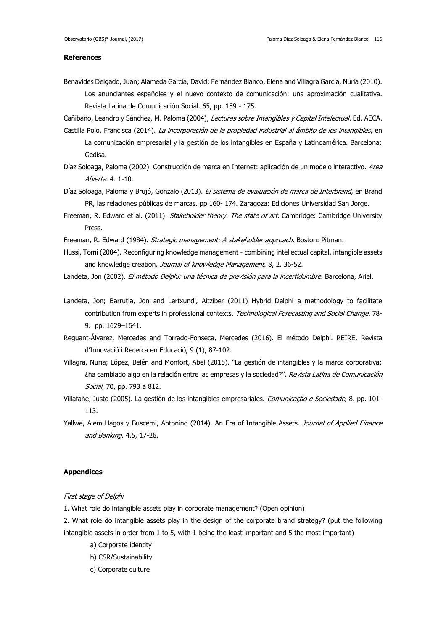#### **References**

Benavides Delgado, Juan; Alameda García, David; Fernández Blanco, Elena and Villagra García, Nuria (2010). Los anunciantes españoles y el nuevo contexto de comunicación: una aproximación cualitativa. Revista Latina de Comunicación Social. 65, pp. 159 - 175.

Cañibano, Leandro y Sánchez, M. Paloma (2004), Lecturas sobre Intangibles y Capital Intelectual. Ed. AECA.

- Castilla Polo, Francisca (2014). La incorporación de la propiedad industrial al ámbito de los intangibles, en La comunicación empresarial y la gestión de los intangibles en España y Latinoamérica. Barcelona: Gedisa.
- Díaz Soloaga, Paloma (2002). Construcción de marca en Internet: aplicación de un modelo interactivo. Area Abierta. 4. 1-10.
- Díaz Soloaga, Paloma y Brujó, Gonzalo (2013). El sistema de evaluación de marca de Interbrand, en Brand PR, las relaciones públicas de marcas. pp.160- 174. Zaragoza: Ediciones Universidad San Jorge.
- Freeman, R. Edward et al. (2011). Stakeholder theory. The state of art. Cambridge: Cambridge University Press.
- Freeman, R. Edward (1984). Strategic management: A stakeholder approach. Boston: Pitman.
- Hussi, Tomi (2004). Reconfiguring knowledge management combining intellectual capital, intangible assets and knowledge creation. Journal of knowledge Management. 8, 2. 36-52.
- Landeta, Jon (2002). El método Delphi: una técnica de previsión para la incertidumbre. Barcelona, Ariel.
- Landeta, Jon; Barrutia, Jon and Lertxundi, Aitziber (2011) Hybrid Delphi a methodology to facilitate contribution from experts in professional contexts. Technological Forecasting and Social Change. 78-9. pp. 1629–1641.
- Reguant-Álvarez, Mercedes and Torrado-Fonseca, Mercedes (2016). El método Delphi. REIRE, Revista d'Innovació i Recerca en Educació, 9 (1), 87-102.
- Villagra, Nuria; López, Belén and Monfort, Abel (2015). "La gestión de intangibles y la marca corporativa: ¿ha cambiado algo en la relación entre las empresas y la sociedad?". Revista Latina de Comunicación Social, 70, pp. 793 a 812.
- Villafañe, Justo (2005). La gestión de los intangibles empresariales. Comunicação e Sociedade, 8. pp. 101-113.
- Yallwe, Alem Hagos y Buscemi, Antonino (2014). An Era of Intangible Assets. Journal of Applied Finance and Banking. 4.5, 17-26.

# **Appendices**

#### First stage of Delphi

- 1. What role do intangible assets play in corporate management? (Open opinion)
- 2. What role do intangible assets play in the design of the corporate brand strategy? (put the following intangible assets in order from 1 to 5, with 1 being the least important and 5 the most important)
	- a) Corporate identity
	- b) CSR/Sustainability
	- c) Corporate culture